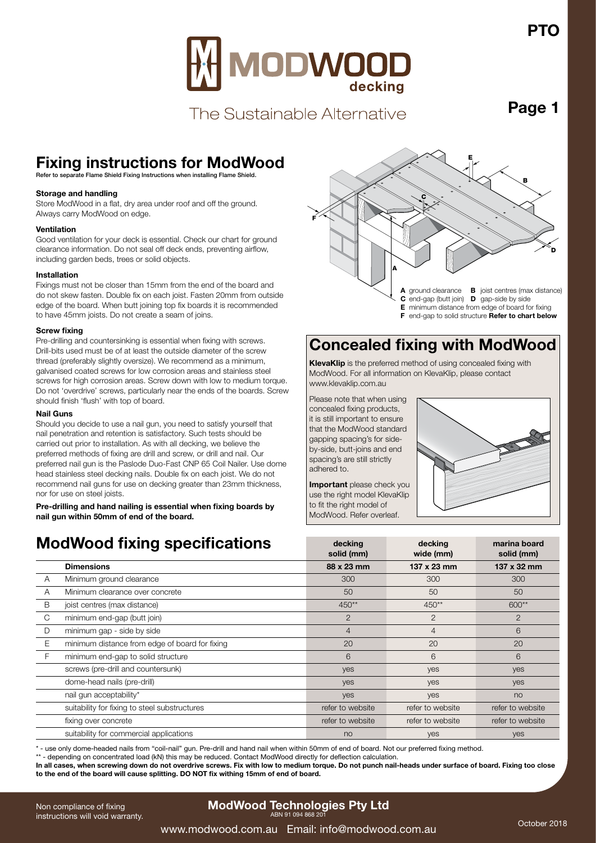

The Sustainable Alternative

**Page 1**

## **Fixing instructions for ModWood**

Refer to separate Flame Shield Fixing Instructions when installing Flame Shield.

### **Storage and handling**

Store ModWood in a flat, dry area under roof and off the ground. Always carry ModWood on edge.

#### **Ventilation**

Good ventilation for your deck is essential. Check our chart for ground clearance information. Do not seal off deck ends, preventing airflow, including garden beds, trees or solid objects.

#### **Installation**

Fixings must not be closer than 15mm from the end of the board and do not skew fasten. Double fix on each joist. Fasten 20mm from outside edge of the board. When butt joining top fix boards it is recommended to have 45mm joists. Do not create a seam of joins.

#### **Screw fixing**

Pre-drilling and countersinking is essential when fixing with screws. Drill-bits used must be of at least the outside diameter of the screw thread (preferably slightly oversize). We recommend as a minimum, galvanised coated screws for low corrosion areas and stainless steel screws for high corrosion areas. Screw down with low to medium torque. Do not 'overdrive' screws, particularly near the ends of the boards. Screw should finish 'flush' with top of board.

### **Nail Guns**

Should you decide to use a nail gun, you need to satisfy yourself that nail penetration and retention is satisfactory. Such tests should be carried out prior to installation. As with all decking, we believe the preferred methods of fixing are drill and screw, or drill and nail. Our preferred nail gun is the Paslode Duo-Fast CNP 65 Coil Nailer. Use dome head stainless steel decking nails. Double fix on each joist. We do not recommend nail guns for use on decking greater than 23mm thickness, nor for use on steel joists.

**Pre-drilling and hand nailing is essential when fixing boards by nail gun within 50mm of end of the board.**

### **ModWood fixing specifications**



**E** minimum distance from edge of board for fixing

**F** end-gap to solid structure **Refer to chart below**

### **Concealed fixing with ModWood**

**KlevaKlip** is the preferred method of using concealed fixing with ModWood. For all information on KlevaKlip, please contact www.klevaklip.com.au

Please note that when using concealed fixing products, it is still important to ensure that the ModWood standard gapping spacing's for sideby-side, butt-joins and end spacing's are still strictly adhered to.

**Important** please check you use the right model KlevaKlip to fit the right model of ModWood. Refer overleaf.



| <b>ModWood fixing specifications</b> |                                                | decking<br>solid (mm) | decking<br>wide (mm) | marina board<br>solid (mm) |
|--------------------------------------|------------------------------------------------|-----------------------|----------------------|----------------------------|
|                                      | <b>Dimensions</b>                              | 88 x 23 mm            | $137 \times 23$ mm   | 137 x 32 mm                |
| A                                    | Minimum ground clearance                       | 300                   | 300                  | 300                        |
| Α                                    | Minimum clearance over concrete                | 50                    | 50                   | 50                         |
| B                                    | joist centres (max distance)                   | 450**                 | 450**                | 600**                      |
| C                                    | minimum end-gap (butt join)                    | $\overline{2}$        | 2                    | $\overline{2}$             |
| D                                    | minimum gap - side by side                     | $\overline{4}$        | $\overline{4}$       | 6                          |
| Е                                    | minimum distance from edge of board for fixing | 20                    | 20                   | 20                         |
| F                                    | minimum end-gap to solid structure             | 6                     | 6                    | 6                          |
|                                      | screws (pre-drill and countersunk)             | yes                   | yes                  | yes                        |
|                                      | dome-head nails (pre-drill)                    | yes                   | yes                  | yes                        |
|                                      | nail gun acceptability*                        | yes                   | yes                  | no                         |
|                                      | suitability for fixing to steel substructures  | refer to website      | refer to website     | refer to website           |
|                                      | fixing over concrete                           | refer to website      | refer to website     | refer to website           |
|                                      | suitability for commercial applications        | no                    | yes                  | <b>ves</b>                 |

\* - use only dome-headed nails from "coil-nail" gun. Pre-drill and hand nail when within 50mm of end of board. Not our preferred fixing method.

\*\* - depending on concentrated load (kN) this may be reduced. Contact ModWood directly for deflection calculation.

In all cases, when screwing down do not overdrive screws. Fix with low to medium torque. Do not punch nail-heads under surface of board. Fixing too close **to the end of the board will cause splitting. DO NOT fix withing 15mm of end of board.**